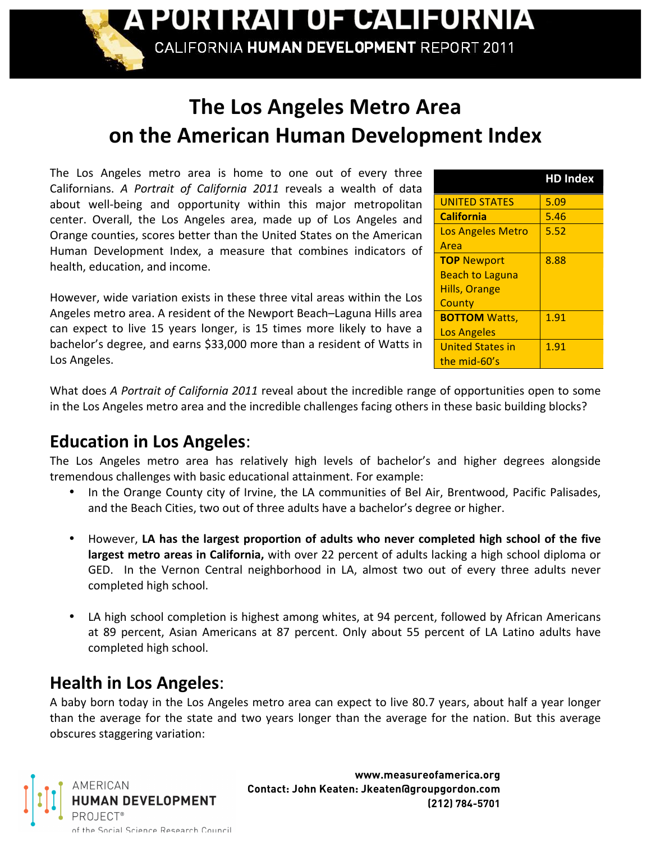A PORTRAIT OF CALIFORNIA

CALIFORNIA HUMAN DEVELOPMENT REPORT 2011

# **The
Los
Angeles
Metro
Area on
the
American
Human
Development
Index**

The Los Angeles metro area is home to one out of every three Californians. A Portrait of California 2011 reveals a wealth of data about well-being and opportunity within this major metropolitan center. Overall, the Los Angeles area, made up of Los Angeles and Orange
counties,
scores
better
than
the
United
States
on
the
American Human
 Development
 Index,
 a
 measure
 that
 combines
 indicators
 of health,
education,
and
income.

However, wide variation exists in these three vital areas within the Los Angeles metro area. A resident of the Newport Beach–Laguna Hills area can expect to live 15 years longer, is 15 times more likely to have a bachelor's
degree,
and
earns
\$33,000
more
than
a
resident
of
Watts
in Los
Angeles.

|                          | <b>HD Index</b> |
|--------------------------|-----------------|
| <b>UNITED STATES</b>     | 5.09            |
| <b>California</b>        | 5.46            |
| <b>Los Angeles Metro</b> | 5.52            |
| Area                     |                 |
| <b>TOP Newport</b>       | 8.88            |
| <b>Beach to Laguna</b>   |                 |
| <b>Hills, Orange</b>     |                 |
| County                   |                 |
| <b>BOTTOM Watts,</b>     | 1.91            |
| <b>Los Angeles</b>       |                 |
| United States in         | 1.91            |
| the mid-60's             |                 |

What does A Portrait of California 2011 reveal about the incredible range of opportunities open to some in the Los Angeles metro area and the incredible challenges facing others in these basic building blocks?

### **Education
in
Los
Angeles**:

The Los Angeles metro area has relatively high levels of bachelor's and higher degrees alongside tremendous
challenges
with
basic
educational
attainment.
For
example:

- In the Orange County city of Irvine, the LA communities of Bel Air, Brentwood, Pacific Palisades, and the Beach Cities, two out of three adults have a bachelor's degree or higher.
- However, LA has the largest proportion of adults who never completed high school of the five largest metro areas in California, with over 22 percent of adults lacking a high school diploma or GED. In the Vernon Central neighborhood in LA, almost two out of every three adults never completed
high
school.
- LA high school completion is highest among whites, at 94 percent, followed by African Americans at 89 percent, Asian Americans at 87 percent. Only about 55 percent of LA Latino adults have completed
high
school.

#### **Health
in
Los
Angeles**:

A baby born today in the Los Angeles metro area can expect to live 80.7 years, about half a year longer than the average for the state and two years longer than the average for the nation. But this average obscures
staggering
variation:



**www.measureofamerica.org Contact: John Keaten: Jkeaten@groupgordon.com (212) 784-5701**